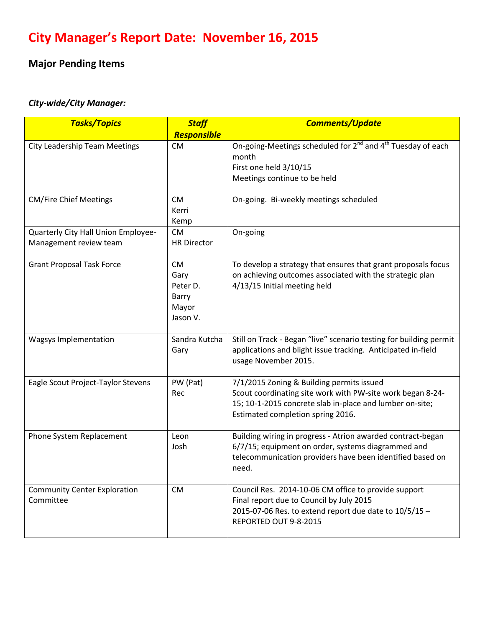# **City Manager's Report Date: November 16, 2015**

## **Major Pending Items**

## *City-wide/City Manager:*

| <b>Tasks/Topics</b>                  | <b>Staff</b>             | <b>Comments/Update</b>                                                              |
|--------------------------------------|--------------------------|-------------------------------------------------------------------------------------|
| <b>City Leadership Team Meetings</b> | Responsible<br><b>CM</b> | On-going-Meetings scheduled for 2 <sup>nd</sup> and 4 <sup>th</sup> Tuesday of each |
|                                      |                          | month                                                                               |
|                                      |                          | First one held 3/10/15                                                              |
|                                      |                          | Meetings continue to be held                                                        |
| <b>CM/Fire Chief Meetings</b>        | <b>CM</b>                | On-going. Bi-weekly meetings scheduled                                              |
|                                      | Kerri                    |                                                                                     |
|                                      | Kemp                     |                                                                                     |
| Quarterly City Hall Union Employee-  | <b>CM</b>                | On-going                                                                            |
| Management review team               | <b>HR Director</b>       |                                                                                     |
| <b>Grant Proposal Task Force</b>     | <b>CM</b>                | To develop a strategy that ensures that grant proposals focus                       |
|                                      | Gary                     | on achieving outcomes associated with the strategic plan                            |
|                                      | Peter D.                 | 4/13/15 Initial meeting held                                                        |
|                                      | Barry                    |                                                                                     |
|                                      | Mayor<br>Jason V.        |                                                                                     |
|                                      |                          |                                                                                     |
| <b>Wagsys Implementation</b>         | Sandra Kutcha            | Still on Track - Began "live" scenario testing for building permit                  |
|                                      | Gary                     | applications and blight issue tracking. Anticipated in-field                        |
|                                      |                          | usage November 2015.                                                                |
| Eagle Scout Project-Taylor Stevens   | PW (Pat)                 | 7/1/2015 Zoning & Building permits issued                                           |
|                                      | Rec                      | Scout coordinating site work with PW-site work began 8-24-                          |
|                                      |                          | 15; 10-1-2015 concrete slab in-place and lumber on-site;                            |
|                                      |                          | Estimated completion spring 2016.                                                   |
| Phone System Replacement             | Leon                     | Building wiring in progress - Atrion awarded contract-began                         |
|                                      | Josh                     | 6/7/15; equipment on order, systems diagrammed and                                  |
|                                      |                          | telecommunication providers have been identified based on<br>need.                  |
|                                      |                          |                                                                                     |
| <b>Community Center Exploration</b>  | <b>CM</b>                | Council Res. 2014-10-06 CM office to provide support                                |
| Committee                            |                          | Final report due to Council by July 2015                                            |
|                                      |                          | 2015-07-06 Res. to extend report due date to 10/5/15 -<br>REPORTED OUT 9-8-2015     |
|                                      |                          |                                                                                     |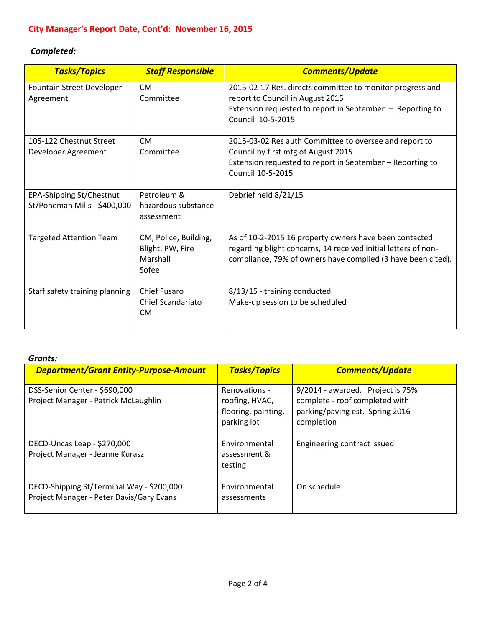## *Completed:*

| <b>Tasks/Topics</b>                                             | <b>Staff Responsible</b>                                       | <b>Comments/Update</b>                                                                                                                                                                   |
|-----------------------------------------------------------------|----------------------------------------------------------------|------------------------------------------------------------------------------------------------------------------------------------------------------------------------------------------|
| Fountain Street Developer<br>Agreement                          | <b>CM</b><br>Committee                                         | 2015-02-17 Res. directs committee to monitor progress and<br>report to Council in August 2015<br>Extension requested to report in September - Reporting to<br>Council 10-5-2015          |
| 105-122 Chestnut Street<br>Developer Agreement                  | <b>CM</b><br>Committee                                         | 2015-03-02 Res auth Committee to oversee and report to<br>Council by first mtg of August 2015<br>Extension requested to report in September - Reporting to<br>Council 10-5-2015          |
| <b>EPA-Shipping St/Chestnut</b><br>St/Ponemah Mills - \$400,000 | Petroleum &<br>hazardous substance<br>assessment               | Debrief held 8/21/15                                                                                                                                                                     |
| <b>Targeted Attention Team</b>                                  | CM, Police, Building,<br>Blight, PW, Fire<br>Marshall<br>Sofee | As of 10-2-2015 16 property owners have been contacted<br>regarding blight concerns, 14 received initial letters of non-<br>compliance, 79% of owners have complied (3 have been cited). |
| Staff safety training planning                                  | <b>Chief Fusaro</b><br>Chief Scandariato<br><b>CM</b>          | 8/13/15 - training conducted<br>Make-up session to be scheduled                                                                                                                          |

#### *Grants:*

| <b>Department/Grant Entity-Purpose-Amount</b>                                         | <b>Tasks/Topics</b>                                                   | <b>Comments/Update</b>                                                                                              |
|---------------------------------------------------------------------------------------|-----------------------------------------------------------------------|---------------------------------------------------------------------------------------------------------------------|
| DSS-Senior Center - \$690,000<br>Project Manager - Patrick McLaughlin                 | Renovations -<br>roofing, HVAC,<br>flooring, painting,<br>parking lot | 9/2014 - awarded. Project is 75%<br>complete - roof completed with<br>parking/paving est. Spring 2016<br>completion |
| DECD-Uncas Leap - \$270,000<br>Project Manager - Jeanne Kurasz                        | Environmental<br>assessment &<br>testing                              | Engineering contract issued                                                                                         |
| DECD-Shipping St/Terminal Way - \$200,000<br>Project Manager - Peter Davis/Gary Evans | Environmental<br>assessments                                          | On schedule                                                                                                         |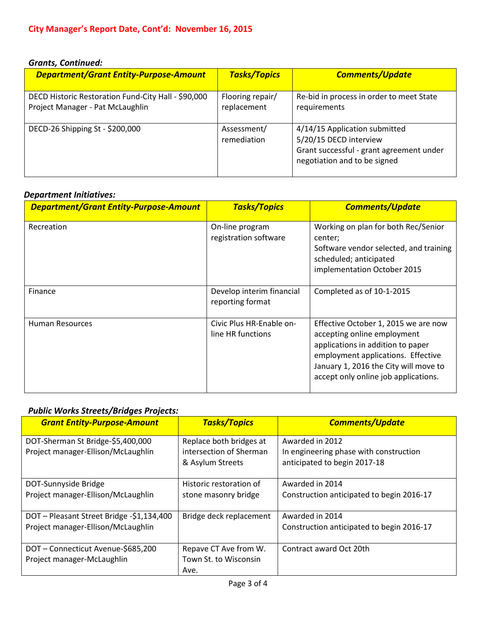#### *Grants, Continued:*

| <b>Department/Grant Entity-Purpose-Amount</b>                                           | <b>Tasks/Topics</b>             | <b>Comments/Update</b>                                                                                                              |
|-----------------------------------------------------------------------------------------|---------------------------------|-------------------------------------------------------------------------------------------------------------------------------------|
| DECD Historic Restoration Fund-City Hall - \$90,000<br>Project Manager - Pat McLaughlin | Flooring repair/<br>replacement | Re-bid in process in order to meet State<br>requirements                                                                            |
| DECD-26 Shipping St - \$200,000                                                         | Assessment/<br>remediation      | 4/14/15 Application submitted<br>5/20/15 DECD interview<br>Grant successful - grant agreement under<br>negotiation and to be signed |

#### *Department Initiatives:*

| <b>Department/Grant Entity-Purpose-Amount</b> | <b>Tasks/Topics</b>                           | <b>Comments/Update</b>                                                                                                                                                                                                          |
|-----------------------------------------------|-----------------------------------------------|---------------------------------------------------------------------------------------------------------------------------------------------------------------------------------------------------------------------------------|
| Recreation                                    | On-line program<br>registration software      | Working on plan for both Rec/Senior<br>center;<br>Software vendor selected, and training<br>scheduled; anticipated<br>implementation October 2015                                                                               |
| Finance                                       | Develop interim financial<br>reporting format | Completed as of 10-1-2015                                                                                                                                                                                                       |
| <b>Human Resources</b>                        | Civic Plus HR-Enable on-<br>line HR functions | Effective October 1, 2015 we are now<br>accepting online employment<br>applications in addition to paper<br>employment applications. Effective<br>January 1, 2016 the City will move to<br>accept only online job applications. |

#### *Public Works Streets/Bridges Projects:*

| <b>Grant Entity-Purpose-Amount</b>        | <b>Tasks/Topics</b>     | <b>Comments/Update</b>                    |
|-------------------------------------------|-------------------------|-------------------------------------------|
| DOT-Sherman St Bridge-\$5,400,000         | Replace both bridges at | Awarded in 2012                           |
| Project manager-Ellison/McLaughlin        | intersection of Sherman | In engineering phase with construction    |
|                                           | & Asylum Streets        | anticipated to begin 2017-18              |
|                                           |                         |                                           |
| DOT-Sunnyside Bridge                      | Historic restoration of | Awarded in 2014                           |
| Project manager-Ellison/McLaughlin        | stone masonry bridge    | Construction anticipated to begin 2016-17 |
|                                           |                         |                                           |
| DOT - Pleasant Street Bridge -\$1,134,400 | Bridge deck replacement | Awarded in 2014                           |
| Project manager-Ellison/McLaughlin        |                         | Construction anticipated to begin 2016-17 |
|                                           |                         |                                           |
| DOT-Connecticut Avenue-\$685,200          | Repave CT Ave from W.   | Contract award Oct 20th                   |
| Project manager-McLaughlin                | Town St. to Wisconsin   |                                           |
|                                           | Ave.                    |                                           |